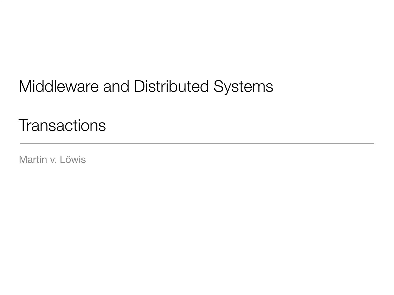### Middleware and Distributed Systems

**Transactions** 

Martin v. Löwis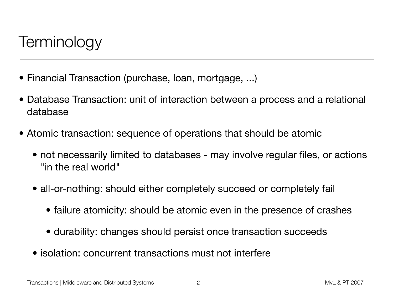### **Terminology**

- Financial Transaction (purchase, loan, mortgage, ...)
- Database Transaction: unit of interaction between a process and a relational database
- Atomic transaction: sequence of operations that should be atomic
	- not necessarily limited to databases may involve regular files, or actions "in the real world"
	- all-or-nothing: should either completely succeed or completely fail
		- failure atomicity: should be atomic even in the presence of crashes
		- durability: changes should persist once transaction succeeds
	- isolation: concurrent transactions must not interfere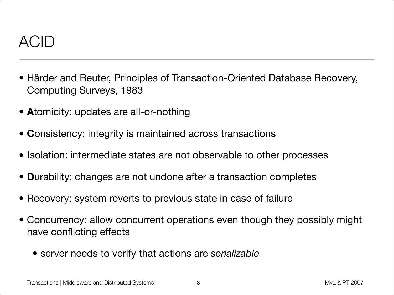

- Härder and Reuter, Principles of Transaction-Oriented Database Recovery, Computing Surveys, 1983
- **A**tomicity: updates are all-or-nothing
- **C**onsistency: integrity is maintained across transactions
- **I**solation: intermediate states are not observable to other processes
- **D**urability: changes are not undone after a transaction completes
- Recovery: system reverts to previous state in case of failure
- Concurrency: allow concurrent operations even though they possibly might have conflicting effects
	- server needs to verify that actions are *serializable*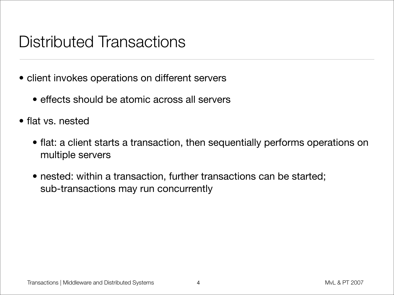### Distributed Transactions

- client invokes operations on different servers
	- effects should be atomic across all servers
- flat vs. nested
	- flat: a client starts a transaction, then sequentially performs operations on multiple servers
	- nested: within a transaction, further transactions can be started; sub-transactions may run concurrently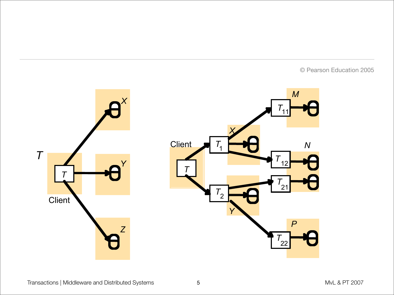© Pearson Education 2005

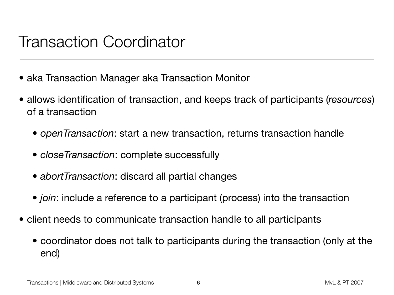### Transaction Coordinator

- aka Transaction Manager aka Transaction Monitor
- allows identification of transaction, and keeps track of participants (*resources*) of a transaction
	- *• openTransaction*: start a new transaction, returns transaction handle
	- *• closeTransaction*: complete successfully
	- *• abortTransaction*: discard all partial changes
	- *• join*: include a reference to a participant (process) into the transaction
- *•* client needs to communicate transaction handle to all participants
	- *•* coordinator does not talk to participants during the transaction (only at the end)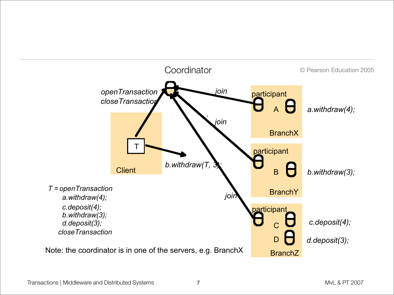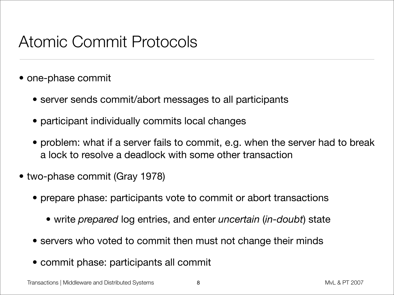### Atomic Commit Protocols

- one-phase commit
	- server sends commit/abort messages to all participants
	- participant individually commits local changes
	- problem: what if a server fails to commit, e.g. when the server had to break a lock to resolve a deadlock with some other transaction
- two-phase commit (Gray 1978)
	- prepare phase: participants vote to commit or abort transactions
		- write *prepared* log entries, and enter *uncertain* (*in-doubt*) state
	- servers who voted to commit then must not change their minds
	- commit phase: participants all commit

Transactions | Middleware and Distributed Systems and  $\overline{a}$  8 and  $\overline{a}$  and  $\overline{a}$  and  $\overline{a}$  and  $\overline{a}$  and  $\overline{a}$  and  $\overline{a}$  and  $\overline{a}$  and  $\overline{a}$  and  $\overline{a}$  and  $\overline{a}$  and  $\overline{a}$  and  $\overline{a}$  a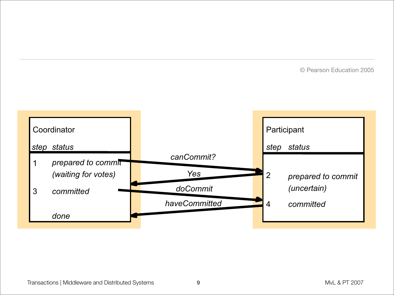© Pearson Education 2005

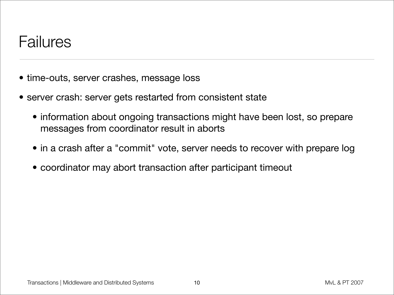#### Failures

- time-outs, server crashes, message loss
- server crash: server gets restarted from consistent state
	- information about ongoing transactions might have been lost, so prepare messages from coordinator result in aborts
	- in a crash after a "commit" vote, server needs to recover with prepare log
	- coordinator may abort transaction after participant timeout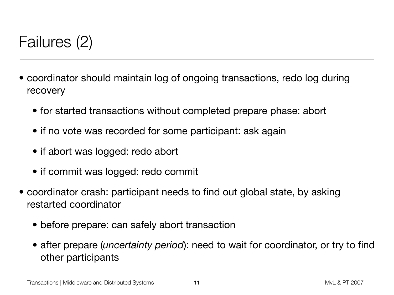## Failures (2)

- coordinator should maintain log of ongoing transactions, redo log during recovery
	- for started transactions without completed prepare phase: abort
	- if no vote was recorded for some participant: ask again
	- if abort was logged: redo abort
	- if commit was logged: redo commit
- coordinator crash: participant needs to find out global state, by asking restarted coordinator
	- before prepare: can safely abort transaction
	- after prepare (*uncertainty period*): need to wait for coordinator, or try to find other participants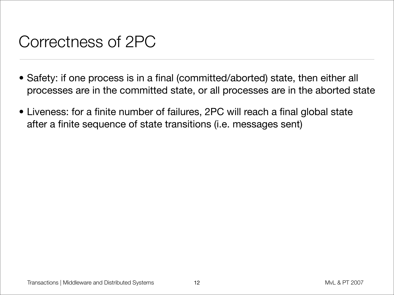### Correctness of 2PC

- Safety: if one process is in a final (committed/aborted) state, then either all processes are in the committed state, or all processes are in the aborted state
- Liveness: for a finite number of failures, 2PC will reach a final global state after a finite sequence of state transitions (i.e. messages sent)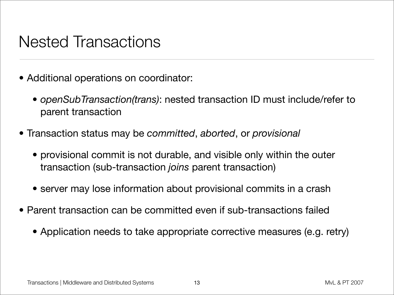#### Nested Transactions

- Additional operations on coordinator:
	- *• openSubTransaction(trans)*: nested transaction ID must include/refer to parent transaction
- Transaction status may be *committed*, *aborted*, or *provisional*
	- provisional commit is not durable, and visible only within the outer transaction (sub-transaction *joins* parent transaction)
	- server may lose information about provisional commits in a crash
- Parent transaction can be committed even if sub-transactions failed
	- Application needs to take appropriate corrective measures (e.g. retry)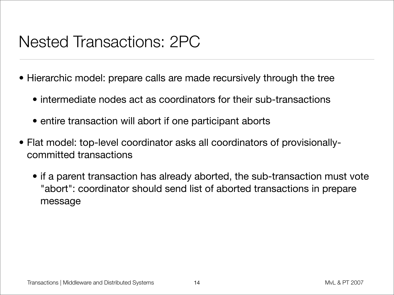### Nested Transactions: 2PC

- Hierarchic model: prepare calls are made recursively through the tree
	- intermediate nodes act as coordinators for their sub-transactions
	- entire transaction will abort if one participant aborts
- Flat model: top-level coordinator asks all coordinators of provisionallycommitted transactions
	- if a parent transaction has already aborted, the sub-transaction must vote "abort": coordinator should send list of aborted transactions in prepare message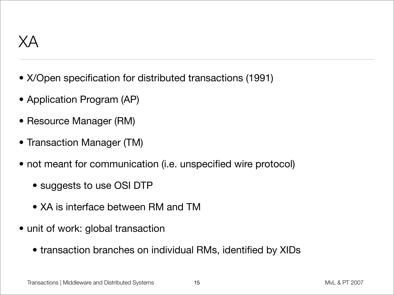- X/Open specification for distributed transactions (1991)
- Application Program (AP)
- Resource Manager (RM)
- Transaction Manager (TM)
- not meant for communication (i.e. unspecified wire protocol)
	- suggests to use OSI DTP
	- XA is interface between RM and TM
- unit of work: global transaction
	- transaction branches on individual RMs, identified by XIDs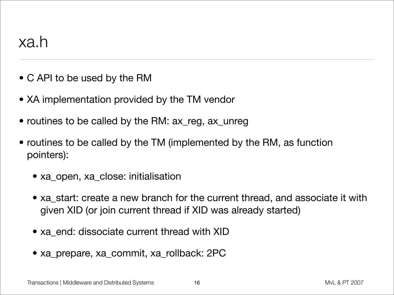- C API to be used by the RM
- XA implementation provided by the TM vendor
- routines to be called by the RM: ax\_reg, ax\_unreg
- routines to be called by the TM (implemented by the RM, as function pointers):
	- xa\_open, xa\_close: initialisation
	- xa\_start: create a new branch for the current thread, and associate it with given XID (or join current thread if XID was already started)
	- xa\_end: dissociate current thread with XID
	- xa\_prepare, xa\_commit, xa\_rollback: 2PC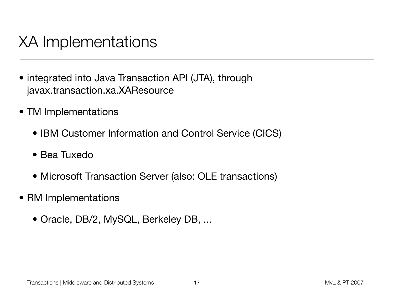### XA Implementations

- integrated into Java Transaction API (JTA), through javax.transaction.xa.XAResource
- TM Implementations
	- IBM Customer Information and Control Service (CICS)
	- Bea Tuxedo
	- Microsoft Transaction Server (also: OLE transactions)
- RM Implementations
	- Oracle, DB/2, MySQL, Berkeley DB, ...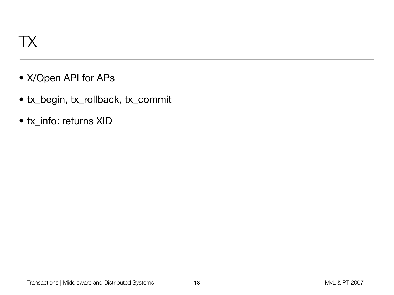# TX

- X/Open API for APs
- tx\_begin, tx\_rollback, tx\_commit
- tx\_info: returns XID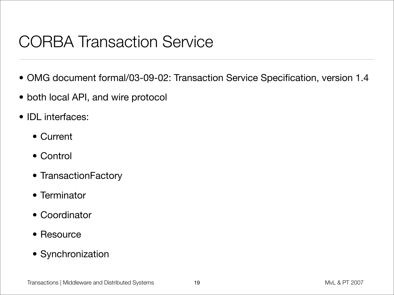# CORBA Transaction Service

- OMG document formal/03-09-02: Transaction Service Specification, version 1.4
- both local API, and wire protocol
- IDL interfaces:
	- Current
	- Control
	- TransactionFactory
	- Terminator
	- Coordinator
	- Resource
	- Synchronization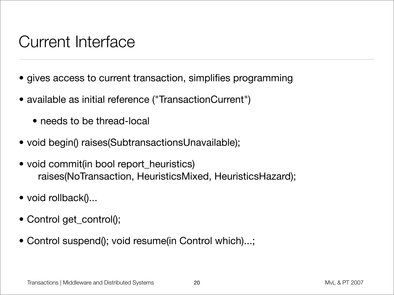### Current Interface

- gives access to current transaction, simplifies programming
- available as initial reference ("TransactionCurrent")
	- needs to be thread-local
- void begin() raises(SubtransactionsUnavailable);
- void commit(in bool report\_heuristics) raises(NoTransaction, HeuristicsMixed, HeuristicsHazard);
- void rollback()...
- Control get\_control();
- Control suspend(); void resume(in Control which)...;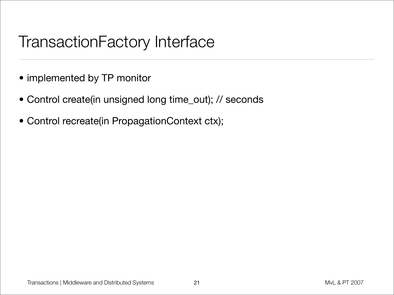### TransactionFactory Interface

- implemented by TP monitor
- Control create(in unsigned long time\_out); // seconds
- Control recreate(in PropagationContext ctx);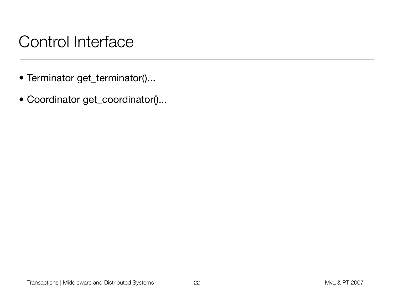### Control Interface

- Terminator get\_terminator()...
- Coordinator get\_coordinator()...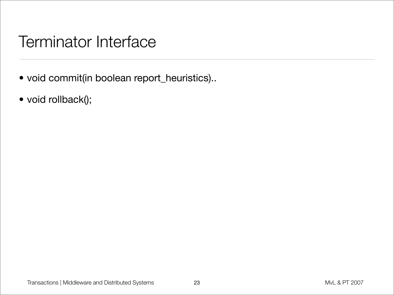#### Terminator Interface

- void commit(in boolean report\_heuristics)..
- void rollback();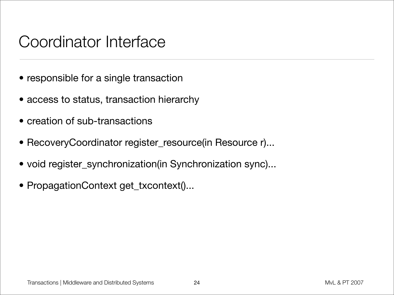#### Coordinator Interface

- responsible for a single transaction
- access to status, transaction hierarchy
- creation of sub-transactions
- RecoveryCoordinator register\_resource(in Resource r)...
- void register\_synchronization(in Synchronization sync)...
- PropagationContext get\_txcontext()...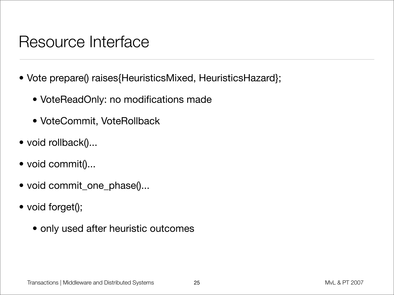#### Resource Interface

- Vote prepare() raises{HeuristicsMixed, HeuristicsHazard};
	- VoteReadOnly: no modifications made
	- VoteCommit, VoteRollback
- void rollback()...
- void commit()...
- void commit\_one\_phase()...
- void forget();
	- only used after heuristic outcomes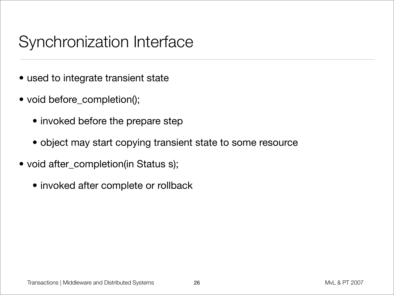### Synchronization Interface

- used to integrate transient state
- void before\_completion();
	- invoked before the prepare step
	- object may start copying transient state to some resource
- void after\_completion(in Status s);
	- invoked after complete or rollback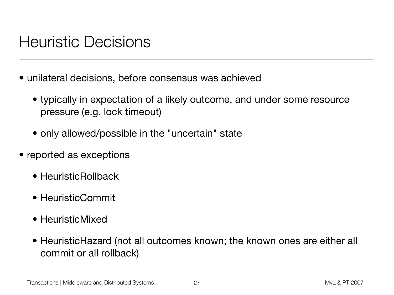### Heuristic Decisions

- unilateral decisions, before consensus was achieved
	- typically in expectation of a likely outcome, and under some resource pressure (e.g. lock timeout)
	- only allowed/possible in the "uncertain" state
- reported as exceptions
	- HeuristicRollback
	- HeuristicCommit
	- HeuristicMixed
	- HeuristicHazard (not all outcomes known; the known ones are either all commit or all rollback)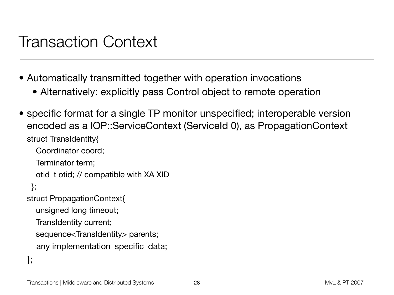#### Transaction Context

- Automatically transmitted together with operation invocations
	- Alternatively: explicitly pass Control object to remote operation
- specific format for a single TP monitor unspecified; interoperable version encoded as a IOP::ServiceContext (ServiceId 0), as PropagationContext struct TransIdentity{

Coordinator coord;

Terminator term;

otid\_t otid; // compatible with XA XID

};

struct PropagationContext{

unsigned long timeout;

TransIdentity current;

sequence<TransIdentity> parents;

```
 any implementation_specific_data;
```

```
};
```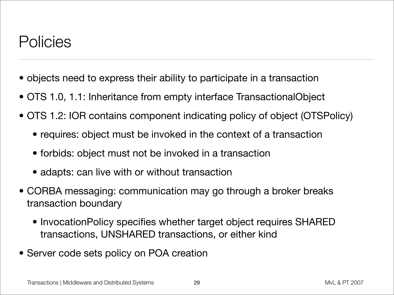#### Policies

- objects need to express their ability to participate in a transaction
- OTS 1.0, 1.1: Inheritance from empty interface TransactionalObject
- OTS 1.2: IOR contains component indicating policy of object (OTSPolicy)
	- requires: object must be invoked in the context of a transaction
	- forbids: object must not be invoked in a transaction
	- adapts: can live with or without transaction
- CORBA messaging: communication may go through a broker breaks transaction boundary
	- InvocationPolicy specifies whether target object requires SHARED transactions, UNSHARED transactions, or either kind
- Server code sets policy on POA creation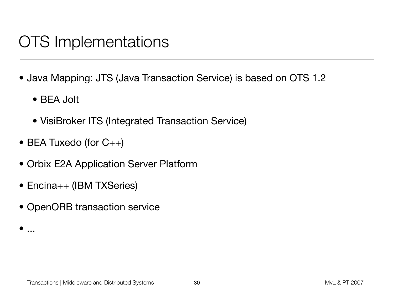### OTS Implementations

- Java Mapping: JTS (Java Transaction Service) is based on OTS 1.2
	- BEA Jolt

 $\bullet$  ...

- VisiBroker ITS (Integrated Transaction Service)
- BEA Tuxedo (for C++)
- Orbix E2A Application Server Platform
- Encina++ (IBM TXSeries)
- OpenORB transaction service